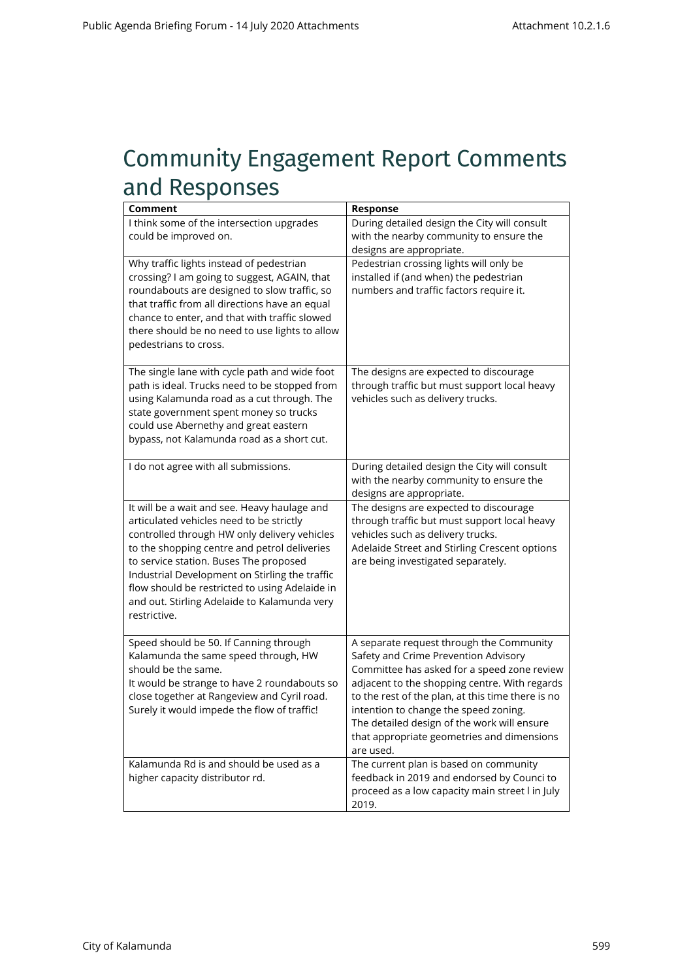## Community Engagement Report Comments and Responses

| Comment                                                                                                                                                                                                                                                                                                                                                                                                | Response                                                                                                                                                                                                                                                                                                                                                                                 |
|--------------------------------------------------------------------------------------------------------------------------------------------------------------------------------------------------------------------------------------------------------------------------------------------------------------------------------------------------------------------------------------------------------|------------------------------------------------------------------------------------------------------------------------------------------------------------------------------------------------------------------------------------------------------------------------------------------------------------------------------------------------------------------------------------------|
| I think some of the intersection upgrades<br>could be improved on.                                                                                                                                                                                                                                                                                                                                     | During detailed design the City will consult<br>with the nearby community to ensure the<br>designs are appropriate.                                                                                                                                                                                                                                                                      |
| Why traffic lights instead of pedestrian<br>crossing? I am going to suggest, AGAIN, that<br>roundabouts are designed to slow traffic, so<br>that traffic from all directions have an equal<br>chance to enter, and that with traffic slowed<br>there should be no need to use lights to allow<br>pedestrians to cross.                                                                                 | Pedestrian crossing lights will only be<br>installed if (and when) the pedestrian<br>numbers and traffic factors require it.                                                                                                                                                                                                                                                             |
| The single lane with cycle path and wide foot<br>path is ideal. Trucks need to be stopped from<br>using Kalamunda road as a cut through. The<br>state government spent money so trucks<br>could use Abernethy and great eastern<br>bypass, not Kalamunda road as a short cut.                                                                                                                          | The designs are expected to discourage<br>through traffic but must support local heavy<br>vehicles such as delivery trucks.                                                                                                                                                                                                                                                              |
| I do not agree with all submissions.                                                                                                                                                                                                                                                                                                                                                                   | During detailed design the City will consult<br>with the nearby community to ensure the<br>designs are appropriate.                                                                                                                                                                                                                                                                      |
| It will be a wait and see. Heavy haulage and<br>articulated vehicles need to be strictly<br>controlled through HW only delivery vehicles<br>to the shopping centre and petrol deliveries<br>to service station. Buses The proposed<br>Industrial Development on Stirling the traffic<br>flow should be restricted to using Adelaide in<br>and out. Stirling Adelaide to Kalamunda very<br>restrictive. | The designs are expected to discourage<br>through traffic but must support local heavy<br>vehicles such as delivery trucks.<br>Adelaide Street and Stirling Crescent options<br>are being investigated separately.                                                                                                                                                                       |
| Speed should be 50. If Canning through<br>Kalamunda the same speed through, HW<br>should be the same.<br>It would be strange to have 2 roundabouts so<br>close together at Rangeview and Cyril road.<br>Surely it would impede the flow of traffic!                                                                                                                                                    | A separate request through the Community<br>Safety and Crime Prevention Advisory<br>Committee has asked for a speed zone review<br>adjacent to the shopping centre. With regards<br>to the rest of the plan, at this time there is no<br>intention to change the speed zoning.<br>The detailed design of the work will ensure<br>that appropriate geometries and dimensions<br>are used. |
| Kalamunda Rd is and should be used as a<br>higher capacity distributor rd.                                                                                                                                                                                                                                                                                                                             | The current plan is based on community<br>feedback in 2019 and endorsed by Counci to<br>proceed as a low capacity main street I in July<br>2019.                                                                                                                                                                                                                                         |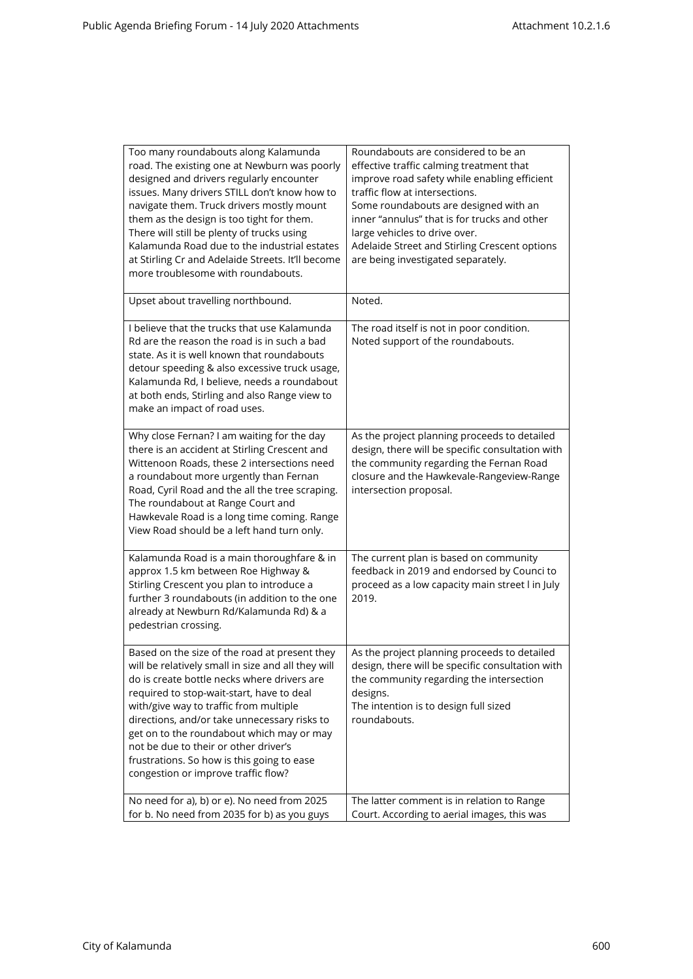| Too many roundabouts along Kalamunda<br>road. The existing one at Newburn was poorly<br>designed and drivers regularly encounter<br>issues. Many drivers STILL don't know how to<br>navigate them. Truck drivers mostly mount<br>them as the design is too tight for them.<br>There will still be plenty of trucks using<br>Kalamunda Road due to the industrial estates<br>at Stirling Cr and Adelaide Streets. It'll become<br>more troublesome with roundabouts.  | Roundabouts are considered to be an<br>effective traffic calming treatment that<br>improve road safety while enabling efficient<br>traffic flow at intersections.<br>Some roundabouts are designed with an<br>inner "annulus" that is for trucks and other<br>large vehicles to drive over.<br>Adelaide Street and Stirling Crescent options<br>are being investigated separately. |
|----------------------------------------------------------------------------------------------------------------------------------------------------------------------------------------------------------------------------------------------------------------------------------------------------------------------------------------------------------------------------------------------------------------------------------------------------------------------|------------------------------------------------------------------------------------------------------------------------------------------------------------------------------------------------------------------------------------------------------------------------------------------------------------------------------------------------------------------------------------|
| Upset about travelling northbound.                                                                                                                                                                                                                                                                                                                                                                                                                                   | Noted.                                                                                                                                                                                                                                                                                                                                                                             |
| I believe that the trucks that use Kalamunda<br>Rd are the reason the road is in such a bad<br>state. As it is well known that roundabouts<br>detour speeding & also excessive truck usage,<br>Kalamunda Rd, I believe, needs a roundabout<br>at both ends, Stirling and also Range view to<br>make an impact of road uses.                                                                                                                                          | The road itself is not in poor condition.<br>Noted support of the roundabouts.                                                                                                                                                                                                                                                                                                     |
| Why close Fernan? I am waiting for the day<br>there is an accident at Stirling Crescent and<br>Wittenoon Roads, these 2 intersections need<br>a roundabout more urgently than Fernan<br>Road, Cyril Road and the all the tree scraping.<br>The roundabout at Range Court and<br>Hawkevale Road is a long time coming. Range<br>View Road should be a left hand turn only.                                                                                            | As the project planning proceeds to detailed<br>design, there will be specific consultation with<br>the community regarding the Fernan Road<br>closure and the Hawkevale-Rangeview-Range<br>intersection proposal.                                                                                                                                                                 |
| Kalamunda Road is a main thoroughfare & in<br>approx 1.5 km between Roe Highway &<br>Stirling Crescent you plan to introduce a<br>further 3 roundabouts (in addition to the one<br>already at Newburn Rd/Kalamunda Rd) & a<br>pedestrian crossing.                                                                                                                                                                                                                   | The current plan is based on community<br>feedback in 2019 and endorsed by Counci to<br>proceed as a low capacity main street I in July<br>2019.                                                                                                                                                                                                                                   |
| Based on the size of the road at present they<br>will be relatively small in size and all they will<br>do is create bottle necks where drivers are<br>required to stop-wait-start, have to deal<br>with/give way to traffic from multiple<br>directions, and/or take unnecessary risks to<br>get on to the roundabout which may or may<br>not be due to their or other driver's<br>frustrations. So how is this going to ease<br>congestion or improve traffic flow? | As the project planning proceeds to detailed<br>design, there will be specific consultation with<br>the community regarding the intersection<br>designs.<br>The intention is to design full sized<br>roundabouts.                                                                                                                                                                  |
| No need for a), b) or e). No need from 2025<br>for b. No need from 2035 for b) as you guys                                                                                                                                                                                                                                                                                                                                                                           | The latter comment is in relation to Range<br>Court. According to aerial images, this was                                                                                                                                                                                                                                                                                          |